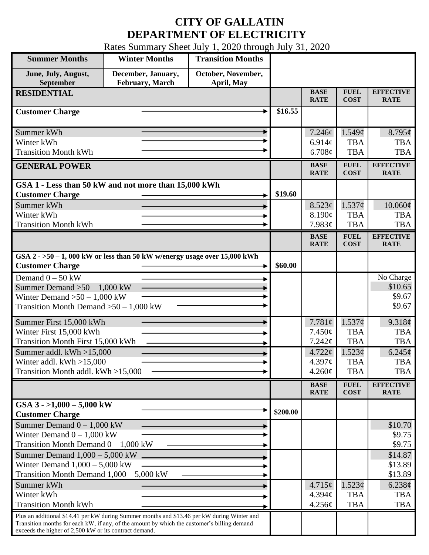## **CITY OF GALLATIN DEPARTMENT OF ELECTRICITY**

Rates Summary Sheet July 1, 2020 through July 31, 2020

| <b>Summer Months</b>                                                                                                                                                                                                                                 | <b>Winter Months</b>                  | <b>Transition Months</b>         |          |                                                       |                                                            |                                                                 |
|------------------------------------------------------------------------------------------------------------------------------------------------------------------------------------------------------------------------------------------------------|---------------------------------------|----------------------------------|----------|-------------------------------------------------------|------------------------------------------------------------|-----------------------------------------------------------------|
| June, July, August,<br>September                                                                                                                                                                                                                     | December, January,<br>February, March | October, November,<br>April, May |          |                                                       |                                                            |                                                                 |
| <b>RESIDENTIAL</b>                                                                                                                                                                                                                                   |                                       |                                  |          | <b>BASE</b><br><b>RATE</b>                            | <b>FUEL</b><br><b>COST</b>                                 | <b>EFFECTIVE</b><br><b>RATE</b>                                 |
| <b>Customer Charge</b>                                                                                                                                                                                                                               |                                       |                                  | \$16.55  |                                                       |                                                            |                                                                 |
| Summer kWh<br>Winter kWh<br><b>Transition Month kWh</b>                                                                                                                                                                                              |                                       |                                  |          | 7.246¢<br>6.914c<br>6.708¢                            | 1.549¢<br><b>TBA</b><br><b>TBA</b>                         | $8.795\phi$<br><b>TBA</b><br><b>TBA</b>                         |
| <b>GENERAL POWER</b>                                                                                                                                                                                                                                 |                                       |                                  |          | <b>BASE</b><br><b>RATE</b>                            | <b>FUEL</b><br><b>COST</b>                                 | <b>EFFECTIVE</b><br><b>RATE</b>                                 |
| GSA 1 - Less than 50 kW and not more than 15,000 kWh<br><b>Customer Charge</b><br>Summer kWh                                                                                                                                                         |                                       |                                  | \$19.60  | 8.523¢                                                | 1.537¢                                                     | 10.060¢                                                         |
| Winter kWh<br><b>Transition Month kWh</b>                                                                                                                                                                                                            |                                       |                                  |          | 8.190¢<br>7.983¢                                      | <b>TBA</b><br><b>TBA</b>                                   | <b>TBA</b><br><b>TBA</b>                                        |
|                                                                                                                                                                                                                                                      |                                       |                                  |          | <b>BASE</b><br><b>RATE</b>                            | <b>FUEL</b><br><b>COST</b>                                 | <b>EFFECTIVE</b><br><b>RATE</b>                                 |
| GSA $2 - 50 - 1$ , 000 kW or less than 50 kW w/energy usage over 15,000 kWh<br><b>Customer Charge</b>                                                                                                                                                |                                       |                                  | \$60.00  |                                                       |                                                            |                                                                 |
| Demand $0 - 50$ kW<br>Summer Demand $>50-1,000$ kW<br>Winter Demand $>50 - 1,000$ kW<br>Transition Month Demand $>50-1,000$ kW                                                                                                                       |                                       |                                  |          |                                                       |                                                            | No Charge<br>\$10.65<br>\$9.67<br>\$9.67                        |
| Summer First 15,000 kWh<br>Winter First 15,000 kWh<br>Transition Month First 15,000 kWh<br>Summer addl. $kWh > 15,000$<br>Winter addl. $kWh > 15,000$                                                                                                |                                       |                                  |          | 7.781 $\phi$<br>$7.450\phi$<br>7.242¢<br>$4.722 \phi$ | 1.537¢<br><b>TBA</b><br><b>TBA</b><br>1.523¢<br><b>TBA</b> | 9.318¢<br><b>TBA</b><br><b>TBA</b><br>$6.245\phi$<br><b>TBA</b> |
| Transition Month addl. kWh >15,000                                                                                                                                                                                                                   |                                       |                                  |          | 4.397¢<br>$4.260\phi$                                 | <b>TBA</b>                                                 | <b>TBA</b>                                                      |
|                                                                                                                                                                                                                                                      |                                       |                                  |          | <b>BASE</b><br><b>RATE</b>                            | <b>FUEL</b><br><b>COST</b>                                 | <b>EFFECTIVE</b><br><b>RATE</b>                                 |
| GSA $3 - 1,000 - 5,000$ kW<br><b>Customer Charge</b>                                                                                                                                                                                                 |                                       |                                  | \$200.00 |                                                       |                                                            |                                                                 |
| Summer Demand $0 - 1,000$ kW<br>Winter Demand $0 - 1,000$ kW<br>Transition Month Demand $0 - 1,000$ kW                                                                                                                                               |                                       |                                  |          |                                                       |                                                            | \$10.70<br>\$9.75<br>\$9.75                                     |
| Summer Demand $1,000 - 5,000$ kW.<br>Winter Demand $1,000 - 5,000$ kW<br>Transition Month Demand $1,000 - 5,000$ kW                                                                                                                                  |                                       |                                  |          |                                                       |                                                            | \$14.87<br>\$13.89<br>\$13.89                                   |
| Summer kWh<br>Winter kWh<br><b>Transition Month kWh</b>                                                                                                                                                                                              |                                       |                                  |          | $4.715\phi$<br>4.394 <sub>c</sub><br>4.256¢           | 1.523¢<br><b>TBA</b><br><b>TBA</b>                         | $6.238\phi$<br><b>TBA</b><br><b>TBA</b>                         |
| Plus an additional \$14.41 per kW during Summer months and \$13.46 per kW during Winter and<br>Transition months for each kW, if any, of the amount by which the customer's billing demand<br>exceeds the higher of 2,500 kW or its contract demand. |                                       |                                  |          |                                                       |                                                            |                                                                 |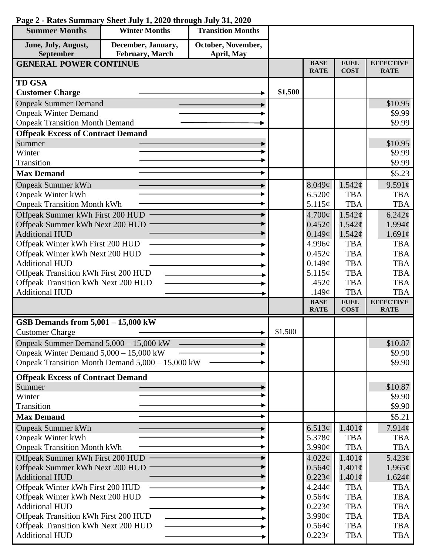| <b>Summer Months</b>                                                        | <b>Winter Months</b>                             | <b>Transition Months</b> |         |                            |                            |                                 |
|-----------------------------------------------------------------------------|--------------------------------------------------|--------------------------|---------|----------------------------|----------------------------|---------------------------------|
| June, July, August,                                                         | December, January,                               | October, November,       |         |                            |                            |                                 |
| September                                                                   | February, March                                  | April, May               |         |                            |                            |                                 |
| <b>GENERAL POWER CONTINUE</b>                                               |                                                  |                          |         | <b>BASE</b><br><b>RATE</b> | <b>FUEL</b><br><b>COST</b> | <b>EFFECTIVE</b><br><b>RATE</b> |
| <b>TD GSA</b>                                                               |                                                  |                          |         |                            |                            |                                 |
| <b>Customer Charge</b>                                                      |                                                  |                          | \$1,500 |                            |                            |                                 |
| <b>Onpeak Summer Demand</b>                                                 |                                                  |                          |         |                            |                            | \$10.95                         |
| <b>Onpeak Winter Demand</b>                                                 |                                                  |                          |         |                            |                            | \$9.99                          |
| <b>Onpeak Transition Month Demand</b>                                       |                                                  |                          |         |                            |                            | \$9.99                          |
| <b>Offpeak Excess of Contract Demand</b>                                    |                                                  |                          |         |                            |                            |                                 |
| Summer                                                                      |                                                  |                          |         |                            |                            | \$10.95                         |
| Winter                                                                      |                                                  |                          |         |                            |                            | \$9.99                          |
| Transition                                                                  |                                                  |                          |         |                            |                            | \$9.99                          |
| <b>Max Demand</b>                                                           |                                                  |                          |         |                            |                            | \$5.23                          |
| <b>Onpeak Summer kWh</b>                                                    |                                                  |                          |         | 8.049¢                     | 1.542¢                     | 9.591¢                          |
| <b>Onpeak Winter kWh</b>                                                    |                                                  |                          |         | 6.520¢                     | <b>TBA</b>                 | <b>TBA</b>                      |
| <b>Onpeak Transition Month kWh</b>                                          |                                                  |                          |         | 5.115¢                     | <b>TBA</b>                 | <b>TBA</b>                      |
| Offpeak Summer kWh First 200 HUD                                            |                                                  |                          |         | 4.700¢                     | 1.542¢                     | 6.242¢                          |
| Offpeak Summer kWh Next 200 HUD                                             |                                                  |                          |         | $0.452\phi$                | 1.542¢                     | 1.994c                          |
| <b>Additional HUD</b>                                                       |                                                  |                          |         | 0.149¢                     | 1.542¢                     | 1.691¢                          |
| Offpeak Winter kWh First 200 HUD                                            |                                                  |                          |         | 4.996¢                     | <b>TBA</b>                 | <b>TBA</b>                      |
| Offpeak Winter kWh Next 200 HUD                                             |                                                  |                          |         | 0.452¢                     | <b>TBA</b>                 | <b>TBA</b>                      |
| <b>Additional HUD</b>                                                       |                                                  |                          |         | 0.149¢                     | <b>TBA</b>                 | <b>TBA</b>                      |
| Offpeak Transition kWh First 200 HUD                                        |                                                  |                          |         | 5.115¢                     | <b>TBA</b><br><b>TBA</b>   | <b>TBA</b><br><b>TBA</b>        |
| Offpeak Transition kWh Next 200 HUD<br><b>Additional HUD</b>                |                                                  |                          |         | .452 $\phi$<br>.149 $\phi$ | <b>TBA</b>                 | <b>TBA</b>                      |
|                                                                             |                                                  |                          |         | <b>BASE</b>                | <b>FUEL</b>                | <b>EFFECTIVE</b>                |
|                                                                             |                                                  |                          |         | <b>RATE</b>                | <b>COST</b>                | <b>RATE</b>                     |
| GSB Demands from 5,001 - 15,000 kW                                          |                                                  |                          |         |                            |                            |                                 |
| <b>Customer Charge</b>                                                      |                                                  |                          | \$1,500 |                            |                            |                                 |
| Onpeak Summer Demand 5,000 - 15,000 kW                                      |                                                  |                          |         |                            |                            | \$10.87                         |
| Onpeak Winter Demand $5,000 - 15,000$ kW                                    |                                                  |                          |         |                            |                            | \$9.90                          |
|                                                                             | Onpeak Transition Month Demand 5,000 – 15,000 kW |                          |         |                            |                            | \$9.90                          |
| <b>Offpeak Excess of Contract Demand</b>                                    |                                                  |                          |         |                            |                            |                                 |
| Summer                                                                      |                                                  |                          |         |                            |                            | \$10.87                         |
| Winter                                                                      |                                                  |                          |         |                            |                            | \$9.90                          |
| Transition                                                                  |                                                  |                          |         |                            |                            | \$9.90                          |
| <b>Max Demand</b>                                                           |                                                  |                          |         |                            |                            | \$5.21                          |
| <b>Onpeak Summer kWh</b>                                                    |                                                  |                          |         | 6.513 $\phi$               | $1.401\phi$                | 7.914¢                          |
| <b>Onpeak Winter kWh</b>                                                    |                                                  |                          |         | 5.378¢                     | <b>TBA</b>                 | <b>TBA</b>                      |
| <b>Onpeak Transition Month kWh</b>                                          |                                                  |                          |         | 3.990¢                     | <b>TBA</b>                 | <b>TBA</b>                      |
| Offpeak Summer kWh First 200 HUD                                            |                                                  |                          |         | 4.022¢                     | $1.401\phi$                | $5.423\phi$                     |
| Offpeak Summer kWh Next 200 HUD                                             |                                                  |                          |         | 0.564¢                     | $1.401\phi$                | 1.965¢                          |
| <b>Additional HUD</b>                                                       |                                                  |                          |         | $0.223\epsilon$            | $1.401\phi$                | $1.624\phi$                     |
| Offpeak Winter kWh First 200 HUD                                            |                                                  |                          |         | 4.244¢                     | <b>TBA</b>                 | <b>TBA</b>                      |
| Offpeak Winter kWh Next 200 HUD                                             |                                                  |                          |         | 0.564¢                     | <b>TBA</b>                 | <b>TBA</b>                      |
| <b>Additional HUD</b>                                                       |                                                  |                          |         | $0.223\phi$                | <b>TBA</b>                 | <b>TBA</b>                      |
| Offpeak Transition kWh First 200 HUD<br>Offpeak Transition kWh Next 200 HUD |                                                  |                          |         | 3.990¢<br>0.564¢           | <b>TBA</b><br><b>TBA</b>   | <b>TBA</b><br><b>TBA</b>        |
| <b>Additional HUD</b>                                                       |                                                  |                          |         | $0.223\phi$                | <b>TBA</b>                 | <b>TBA</b>                      |
|                                                                             |                                                  |                          |         |                            |                            |                                 |

## **Page 2 - Rates Summary Sheet July 1, 2020 through July 31, 2020**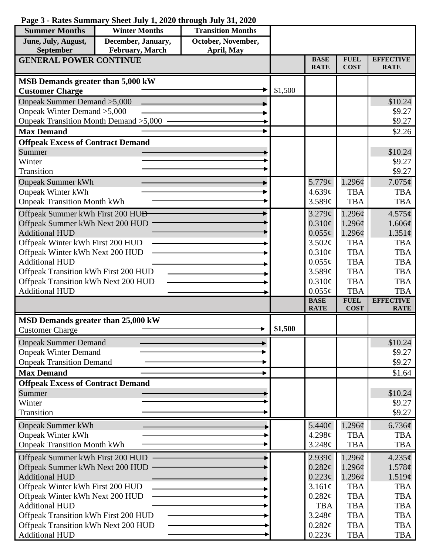| <b>Summer Months</b>                                         | <b>Winter Months</b> | <b>Transition Months</b> |         |                            |                            |                                 |
|--------------------------------------------------------------|----------------------|--------------------------|---------|----------------------------|----------------------------|---------------------------------|
| June, July, August,                                          | December, January,   | October, November,       |         |                            |                            |                                 |
| September                                                    | February, March      | April, May               |         |                            |                            |                                 |
| <b>GENERAL POWER CONTINUE</b>                                |                      |                          |         | <b>BASE</b><br><b>RATE</b> | <b>FUEL</b><br><b>COST</b> | <b>EFFECTIVE</b><br><b>RATE</b> |
|                                                              |                      |                          |         |                            |                            |                                 |
| MSB Demands greater than 5,000 kW                            |                      |                          | \$1,500 |                            |                            |                                 |
| <b>Customer Charge</b><br>Onpeak Summer Demand > 5,000       |                      |                          |         |                            |                            | \$10.24                         |
| Onpeak Winter Demand > 5,000                                 |                      |                          |         |                            |                            | \$9.27                          |
| Onpeak Transition Month Demand > 5,000                       |                      |                          |         |                            |                            | \$9.27                          |
| <b>Max Demand</b>                                            |                      |                          |         |                            |                            | \$2.26                          |
| <b>Offpeak Excess of Contract Demand</b>                     |                      |                          |         |                            |                            |                                 |
| Summer                                                       |                      |                          |         |                            |                            | \$10.24                         |
| Winter                                                       |                      |                          |         |                            |                            | \$9.27                          |
| Transition                                                   |                      |                          |         |                            |                            | \$9.27                          |
| <b>Onpeak Summer kWh</b>                                     |                      |                          |         | 5.779¢                     | 1.296¢                     | $7.075\phi$                     |
| <b>Onpeak Winter kWh</b>                                     |                      |                          |         | 4.639¢                     | <b>TBA</b>                 | <b>TBA</b>                      |
| <b>Onpeak Transition Month kWh</b>                           |                      |                          |         | 3.589¢                     | <b>TBA</b>                 | <b>TBA</b>                      |
| Offpeak Summer kWh First 200 HU <del>D</del>                 |                      |                          |         | 3.279¢                     | 1.296¢                     | 4.575¢                          |
| Offpeak Summer kWh Next 200 HUD                              |                      |                          |         | $0.310\epsilon$            | 1.296¢                     | 1.606¢                          |
| <b>Additional HUD</b>                                        |                      |                          |         | $0.055\phi$                | $1.296\phi$                | $1.351\phi$                     |
| Offpeak Winter kWh First 200 HUD                             |                      |                          |         | 3.502¢                     | <b>TBA</b>                 | <b>TBA</b>                      |
| Offpeak Winter kWh Next 200 HUD                              |                      |                          |         | $0.310\phi$                | <b>TBA</b>                 | <b>TBA</b>                      |
| <b>Additional HUD</b>                                        |                      |                          |         | $0.055\phi$                | <b>TBA</b>                 | <b>TBA</b>                      |
| Offpeak Transition kWh First 200 HUD                         |                      |                          |         | 3.589¢                     | <b>TBA</b>                 | <b>TBA</b>                      |
| Offpeak Transition kWh Next 200 HUD                          |                      |                          |         | 0.310¢                     | <b>TBA</b>                 | <b>TBA</b>                      |
| <b>Additional HUD</b>                                        |                      |                          |         | $0.055\phi$                | <b>TBA</b>                 | <b>TBA</b>                      |
|                                                              |                      |                          |         | <b>BASE</b>                | <b>FUEL</b>                | <b>EFFECTIVE</b>                |
|                                                              |                      |                          |         | <b>RATE</b>                | <b>COST</b>                | <b>RATE</b>                     |
| MSD Demands greater than 25,000 kW                           |                      |                          | \$1,500 |                            |                            |                                 |
| <b>Customer Charge</b>                                       |                      |                          |         |                            |                            |                                 |
| <b>Onpeak Summer Demand</b>                                  |                      |                          |         |                            |                            | \$10.24                         |
| <b>Onpeak Winter Demand</b>                                  |                      |                          |         |                            |                            | \$9.27                          |
| <b>Onpeak Transition Demand</b>                              |                      |                          |         |                            |                            | \$9.27                          |
| <b>Max Demand</b>                                            |                      |                          |         |                            |                            | \$1.64                          |
| <b>Offpeak Excess of Contract Demand</b>                     |                      |                          |         |                            |                            |                                 |
| Summer                                                       |                      |                          |         |                            |                            | \$10.24                         |
| Winter                                                       |                      |                          |         |                            |                            | \$9.27                          |
| Transition                                                   |                      |                          |         |                            |                            | \$9.27                          |
| <b>Onpeak Summer kWh</b>                                     |                      |                          |         | 5.440¢                     | 1.296¢                     | 6.736¢                          |
| <b>Onpeak Winter kWh</b>                                     |                      |                          |         | 4.298c                     | <b>TBA</b>                 | <b>TBA</b>                      |
| <b>Onpeak Transition Month kWh</b>                           |                      |                          |         | 3.248¢                     | <b>TBA</b>                 | <b>TBA</b>                      |
| Offpeak Summer kWh First 200 HUD                             |                      |                          |         | 2.939¢                     | 1.296¢                     | 4.235¢                          |
| Offpeak Summer kWh Next 200 HUD                              |                      |                          |         | 0.282¢                     | $1.296\phi$                | 1.578¢                          |
| <b>Additional HUD</b>                                        |                      |                          |         | 0.223¢                     | 1.296¢                     | 1.519¢                          |
| Offpeak Winter kWh First 200 HUD                             |                      |                          |         | 3.161¢                     | <b>TBA</b>                 | <b>TBA</b>                      |
| Offpeak Winter kWh Next 200 HUD                              |                      |                          |         | 0.282¢                     | <b>TBA</b>                 | <b>TBA</b>                      |
| <b>Additional HUD</b>                                        |                      |                          |         | <b>TBA</b>                 | <b>TBA</b>                 | <b>TBA</b>                      |
| Offpeak Transition kWh First 200 HUD                         |                      |                          |         | 3.248¢<br>0.282¢           | <b>TBA</b><br><b>TBA</b>   | <b>TBA</b><br><b>TBA</b>        |
| Offpeak Transition kWh Next 200 HUD<br><b>Additional HUD</b> |                      |                          |         | $0.223\phi$                | <b>TBA</b>                 | TBA                             |

## **Page 3 - Rates Summary Sheet July 1, 2020 through July 31, 2020**